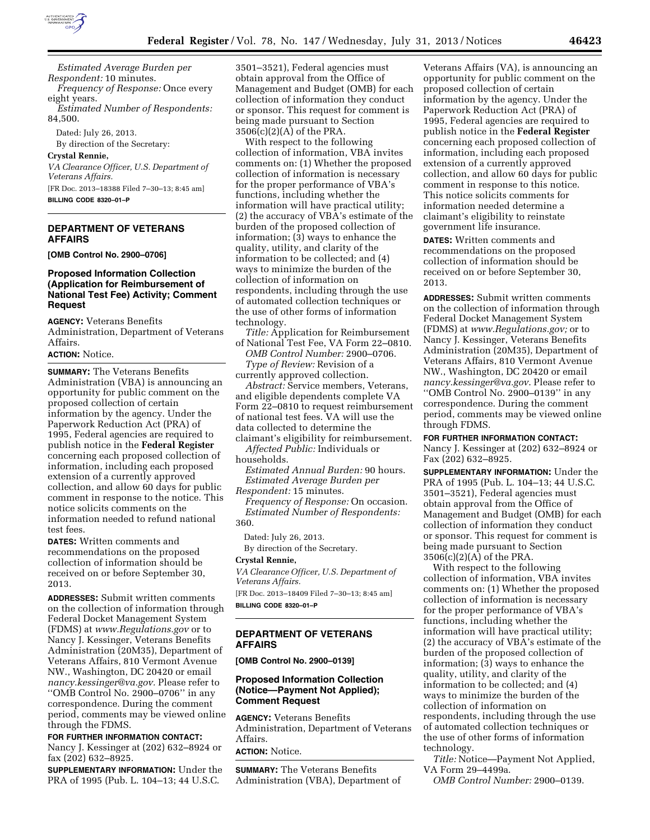

*Estimated Average Burden per Respondent:* 10 minutes. *Frequency of Response:* Once every eight years. *Estimated Number of Respondents:*  84,500.

Dated: July 26, 2013. By direction of the Secretary:

#### **Crystal Rennie,**

*VA Clearance Officer, U.S. Department of Veterans Affairs.*  [FR Doc. 2013–18388 Filed 7–30–13; 8:45 am]

**BILLING CODE 8320–01–P** 

### **DEPARTMENT OF VETERANS AFFAIRS**

**[OMB Control No. 2900–0706]** 

# **Proposed Information Collection (Application for Reimbursement of National Test Fee) Activity; Comment Request**

**AGENCY:** Veterans Benefits Administration, Department of Veterans Affairs.

**ACTION:** Notice.

**SUMMARY:** The Veterans Benefits Administration (VBA) is announcing an opportunity for public comment on the proposed collection of certain information by the agency. Under the Paperwork Reduction Act (PRA) of 1995, Federal agencies are required to publish notice in the **Federal Register**  concerning each proposed collection of information, including each proposed extension of a currently approved collection, and allow 60 days for public comment in response to the notice. This notice solicits comments on the information needed to refund national test fees.

**DATES:** Written comments and recommendations on the proposed collection of information should be received on or before September 30, 2013.

**ADDRESSES:** Submit written comments on the collection of information through Federal Docket Management System (FDMS) at *[www.Regulations.gov](http://www.Regulations.gov)* or to Nancy J. Kessinger, Veterans Benefits Administration (20M35), Department of Veterans Affairs, 810 Vermont Avenue NW., Washington, DC 20420 or email *[nancy.kessinger@va.gov.](mailto:nancy.kessinger@va.gov)* Please refer to ''OMB Control No. 2900–0706'' in any correspondence. During the comment period, comments may be viewed online through the FDMS.

# **FOR FURTHER INFORMATION CONTACT:**

Nancy J. Kessinger at (202) 632–8924 or fax (202) 632–8925.

**SUPPLEMENTARY INFORMATION:** Under the PRA of 1995 (Pub. L. 104–13; 44 U.S.C.

3501–3521), Federal agencies must obtain approval from the Office of Management and Budget (OMB) for each collection of information they conduct or sponsor. This request for comment is being made pursuant to Section 3506(c)(2)(A) of the PRA.

With respect to the following collection of information, VBA invites comments on: (1) Whether the proposed collection of information is necessary for the proper performance of VBA's functions, including whether the information will have practical utility; (2) the accuracy of VBA's estimate of the burden of the proposed collection of information; (3) ways to enhance the quality, utility, and clarity of the information to be collected; and (4) ways to minimize the burden of the collection of information on respondents, including through the use of automated collection techniques or the use of other forms of information technology.

*Title:* Application for Reimbursement of National Test Fee, VA Form 22–0810. *OMB Control Number:* 2900–0706. *Type of Review:* Revision of a

currently approved collection.

*Abstract:* Service members, Veterans, and eligible dependents complete VA Form 22–0810 to request reimbursement of national test fees. VA will use the data collected to determine the claimant's eligibility for reimbursement.

*Affected Public:* Individuals or households.

*Estimated Annual Burden:* 90 hours. *Estimated Average Burden per* 

*Respondent:* 15 minutes.

*Frequency of Response:* On occasion. *Estimated Number of Respondents:*  360.

Dated: July 26, 2013.

By direction of the Secretary.

# **Crystal Rennie,**

*VA Clearance Officer, U.S. Department of Veterans Affairs.*  [FR Doc. 2013–18409 Filed 7–30–13; 8:45 am]

**BILLING CODE 8320–01–P** 

### **DEPARTMENT OF VETERANS AFFAIRS**

**[OMB Control No. 2900–0139]** 

### **Proposed Information Collection (Notice—Payment Not Applied); Comment Request**

**AGENCY:** Veterans Benefits Administration, Department of Veterans Affairs. **ACTION:** Notice.

**SUMMARY:** The Veterans Benefits Administration (VBA), Department of

Veterans Affairs (VA), is announcing an opportunity for public comment on the proposed collection of certain information by the agency. Under the Paperwork Reduction Act (PRA) of 1995, Federal agencies are required to publish notice in the **Federal Register**  concerning each proposed collection of information, including each proposed extension of a currently approved collection, and allow 60 days for public comment in response to this notice. This notice solicits comments for information needed determine a claimant's eligibility to reinstate government life insurance.

**DATES:** Written comments and recommendations on the proposed collection of information should be received on or before September 30, 2013.

**ADDRESSES:** Submit written comments on the collection of information through Federal Docket Management System (FDMS) at *[www.Regulations.gov;](http://www.Regulations.gov)* or to Nancy J. Kessinger, Veterans Benefits Administration (20M35), Department of Veterans Affairs, 810 Vermont Avenue NW., Washington, DC 20420 or email *[nancy.kessinger@va.gov](mailto:nancy.kessinger@va.gov)*. Please refer to ''OMB Control No. 2900–0139'' in any correspondence. During the comment period, comments may be viewed online through FDMS.

# **FOR FURTHER INFORMATION CONTACT:**

Nancy J. Kessinger at (202) 632–8924 or Fax (202) 632–8925.

**SUPPLEMENTARY INFORMATION:** Under the PRA of 1995 (Pub. L. 104–13; 44 U.S.C. 3501–3521), Federal agencies must obtain approval from the Office of Management and Budget (OMB) for each collection of information they conduct or sponsor. This request for comment is being made pursuant to Section 3506(c)(2)(A) of the PRA.

With respect to the following collection of information, VBA invites comments on: (1) Whether the proposed collection of information is necessary for the proper performance of VBA's functions, including whether the information will have practical utility; (2) the accuracy of VBA's estimate of the burden of the proposed collection of information; (3) ways to enhance the quality, utility, and clarity of the information to be collected; and (4) ways to minimize the burden of the collection of information on respondents, including through the use of automated collection techniques or the use of other forms of information technology.

*Title:* Notice—Payment Not Applied, VA Form 29–4499a.

*OMB Control Number:* 2900–0139.